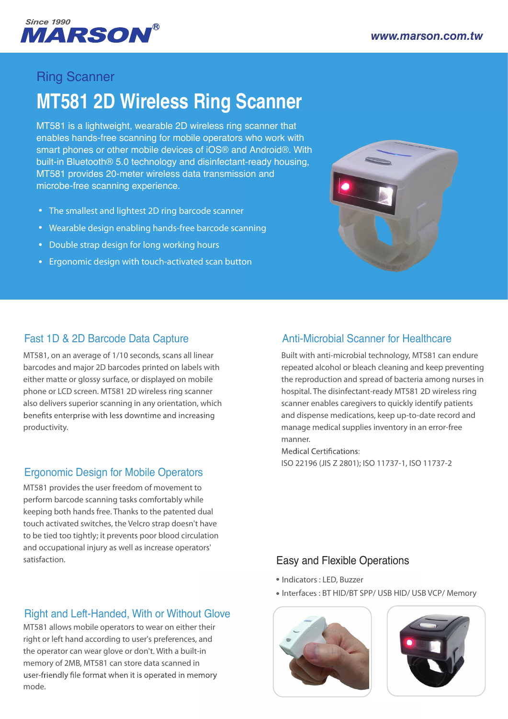

# Ring Scanner

# **MT581 2D Wireless Ring Scanner**

MT581 is a lightweight, wearable 2D wireless ring scanner that enables hands-free scanning for mobile operators who work with smart phones or other mobile devices of iOS® and Android®. With built-in Bluetooth® 5.0 technology and disinfectant-ready housing, MT581 provides 20-meter wireless data transmission and microbe-free scanning experience.

- The smallest and lightest 2D ring barcode scanner
- Wearable design enabling hands-free barcode scanning
- Double strap design for long working hours
- Ergonomic design with touch-activated scan button



#### Fast 1D & 2D Barcode Data Capture

MT581, on an average of 1/10 seconds, scans all linear barcodes and major 2D barcodes printed on labels with either matte or glossy surface, or displayed on mobile phone or LCD screen. MT581 2D wireless ring scanner also delivers superior scanning in any orientation, which benefits enterprise with less downtime and increasing productivity.

#### Ergonomic Design for Mobile Operators

MT581 provides the user freedom of movement to perform barcode scanning tasks comfortably while keeping both hands free. Thanks to the patented dual touch activated switches, the Velcro strap doesn't have to be tied too tightly; it prevents poor blood circulation and occupational injury as well as increase operators' satisfaction.

## Right and Left-Handed, With or Without Glove t

MT581 allows mobile operators to wear on either their right or left hand according to user's preferences, and the operator can wear glove or don't. With a built-in memory of 2MB, MT581 can store data scanned in user-friendly file format when it is operated in memory mode.

## Anti-Microbial Scanner for Healthcare

Built with anti-microbial technology, MT581 can endure repeated alcohol or bleach cleaning and keep preventing the reproduction and spread of bacteria among nurses in hospital. The disinfectant-ready MT581 2D wireless ring scanner enables caregivers to quickly identify patients and dispense medications, keep up-to-date record and manage medical supplies inventory in an error-free manner.nning<br>
on<br>
Anti-Mic<br>
Built with a<br>
repeated a<br>
the reprod<br>
hospital. Th<br>
scanner en<br>
and dispen<br>
manage m<br>
manner.<br>
Medical Ce<br>
ISO 22196<br> **Easy and**<br>
• Indicators<br>
• Indicators<br>
• Indicators

ISO 22196 (JIS Z 2801); ISO 11737-1, ISO 11737-2

#### Easy and Flexible Operations

- Indicators : LED, Buzzer
- Interfaces : BT HID/BT SPP/ USB HID/ USB VCP/ Memory